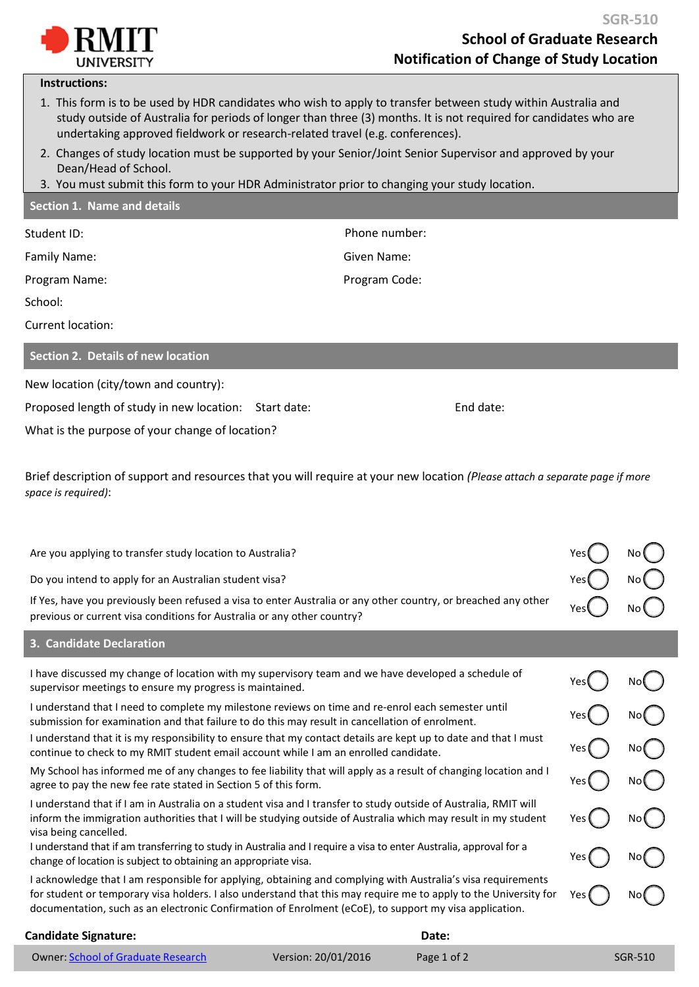

## **Instructions:**

- 1. This form is to be used by HDR candidates who wish to apply to transfer between study within Australia and study outside of Australia for periods of longer than three (3) months. It is not required for candidates who are undertaking approved fieldwork or research-related travel (e.g. conferences).
- 2. Changes of study location must be supported by your Senior/Joint Senior Supervisor and approved by your Dean/Head of School.
- 3. You must submit this form to your HDR Administrator prior to changing your study location.

| Section 1. Name and details                                                                                    |               |
|----------------------------------------------------------------------------------------------------------------|---------------|
| Student ID:                                                                                                    | Phone number: |
| Family Name:                                                                                                   | Given Name:   |
| Program Name:                                                                                                  | Program Code: |
| School:                                                                                                        |               |
| Current location:                                                                                              |               |
| Section 2. Details of new location                                                                             |               |
| New location (city/town and country):                                                                          |               |
| 그 아이들은 그 사람들은 그 사람들은 그 사람들을 지르며 그 사람들을 지르며 그 사람들을 지르며 그 사람들을 지르며 그 사람들을 지르며 그 사람들을 지르며 그 사람들을 지르며 그 사람들을 지르며 그 |               |

Proposed length of study in new location: Start date: End date: End date:

What is the purpose of your change of location?

Brief description of support and resources that you will require at your new location *(Please attach a separate page if more space is required)*:

| Yes  | No   |
|------|------|
| Yes. | No ( |
| Yes  | No.  |
| Yes  | No   |
| Yes  |      |
|      |      |

**Candidate Signature: Date: Date: Date: Date: Date: Date: Date: Date: Date: Date: Date: Date: Date: Date: Date: Date: Date: Date: Date: Date: Date: Date: Date: Date: Date:** 

## Owner: School of [Graduate](mailto:sgr@rmit.edu.au) Research Version: 20/01/2016 Page 1 of 2 SGR-510